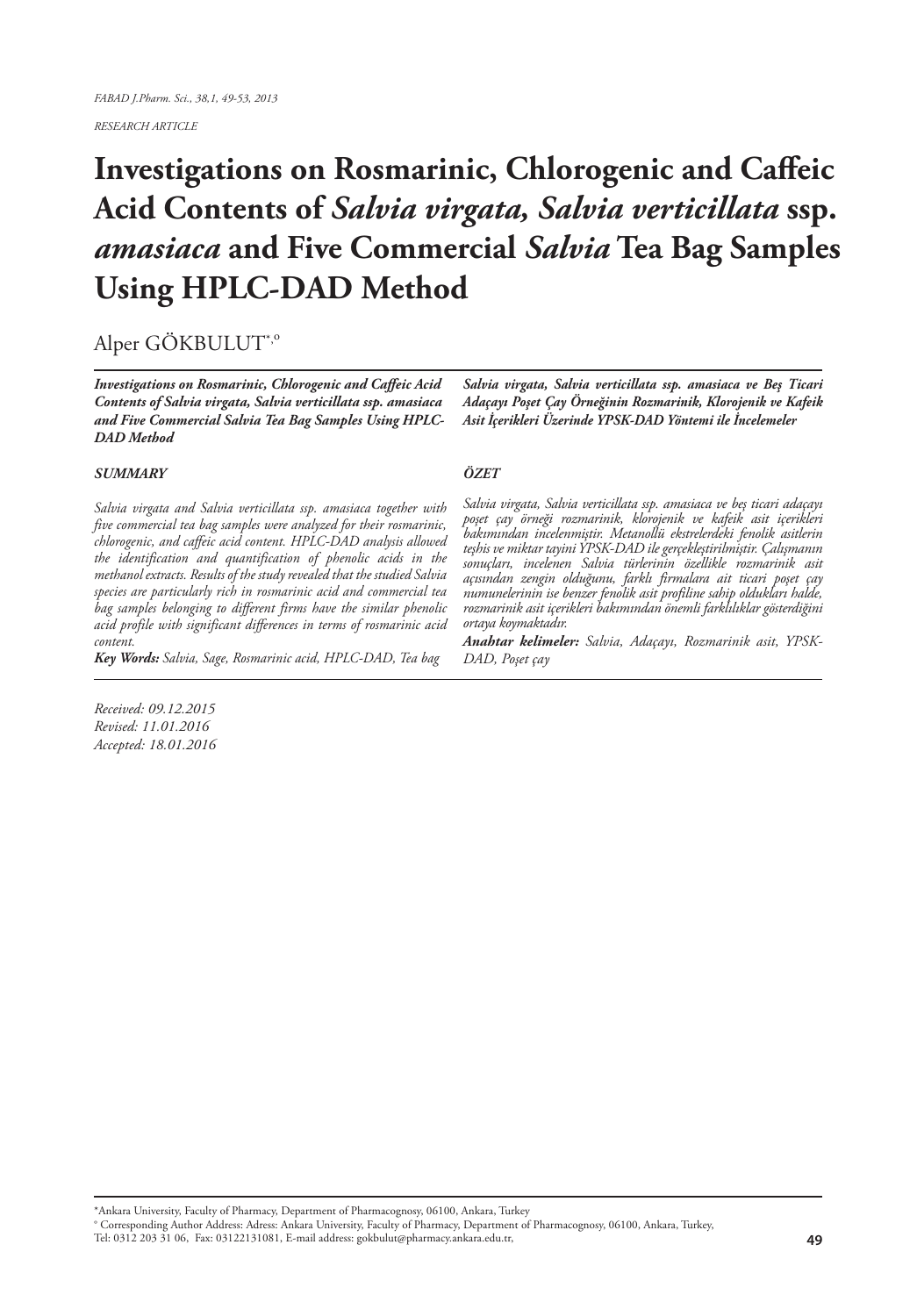*RESEARCH ARTICLE*

# **Investigations on Rosmarinic, Chlorogenic and Caffeic Acid Contents of** *Salvia virgata, Salvia verticillata* **ssp.**  *amasiaca* **and Five Commercial** *Salvia* **Tea Bag Samples Using HPLC-DAD Method**

## Alper GÖKBULUT\*,<sup>o</sup>

*Investigations on Rosmarinic, Chlorogenic and Caffeic Acid Contents of Salvia virgata, Salvia verticillata ssp. amasiaca and Five Commercial Salvia Tea Bag Samples Using HPLC-DAD Method*

#### *SUMMARY*

*Salvia virgata and Salvia verticillata ssp. amasiaca together with five commercial tea bag samples were analyzed for their rosmarinic, chlorogenic, and caffeic acid content. HPLC-DAD analysis allowed the identification and quantification of phenolic acids in the methanol extracts. Results of the study revealed that the studied Salvia species are particularly rich in rosmarinic acid and commercial tea bag samples belonging to different firms have the similar phenolic acid profile with significant differences in terms of rosmarinic acid content.* 

*Key Words: Salvia, Sage, Rosmarinic acid, HPLC-DAD, Tea bag*

*Salvia virgata, Salvia verticillata ssp. amasiaca ve Beş Ticari Adaçayı Poşet Çay Örneğinin Rozmarinik, Klorojenik ve Kafeik Asit İçerikleri Üzerinde YPSK-DAD Yöntemi ile İncelemeler*

#### *ÖZET*

*Salvia virgata, Salvia verticillata ssp. amasiaca ve beş ticari adaçayı poşet çay örneği rozmarinik, klorojenik ve kafeik asit içerikleri bakımından incelenmiştir. Metanollü ekstrelerdeki fenolik asitlerin teşhis ve miktar tayini YPSK-DAD ile gerçekleştirilmiştir. Çalışmanın sonuçları, incelenen Salvia türlerinin özellikle rozmarinik asit açısından zengin olduğunu, farklı firmalara ait ticari poşet çay numunelerinin ise benzer fenolik asit profiline sahip oldukları halde, rozmarinik asit içerikleri bakımından önemli farklılıklar gösterdiğini ortaya koymaktadır.*

*Anahtar kelimeler: Salvia, Adaçayı, Rozmarinik asit, YPSK-DAD, Poşet çay*

*Received: 09.12.2015 Revised: 11.01.2016 Accepted: 18.01.2016*

\*Ankara University, Faculty of Pharmacy, Department of Pharmacognosy, 06100, Ankara, Turkey

° Corresponding Author Address: Adress: Ankara University, Faculty of Pharmacy, Department of Pharmacognosy, 06100, Ankara, Turkey,

Tel: 0312 203 31 06, Fax: 03122131081, E-mail address: gokbulut@pharmacy.ankara.edu.tr,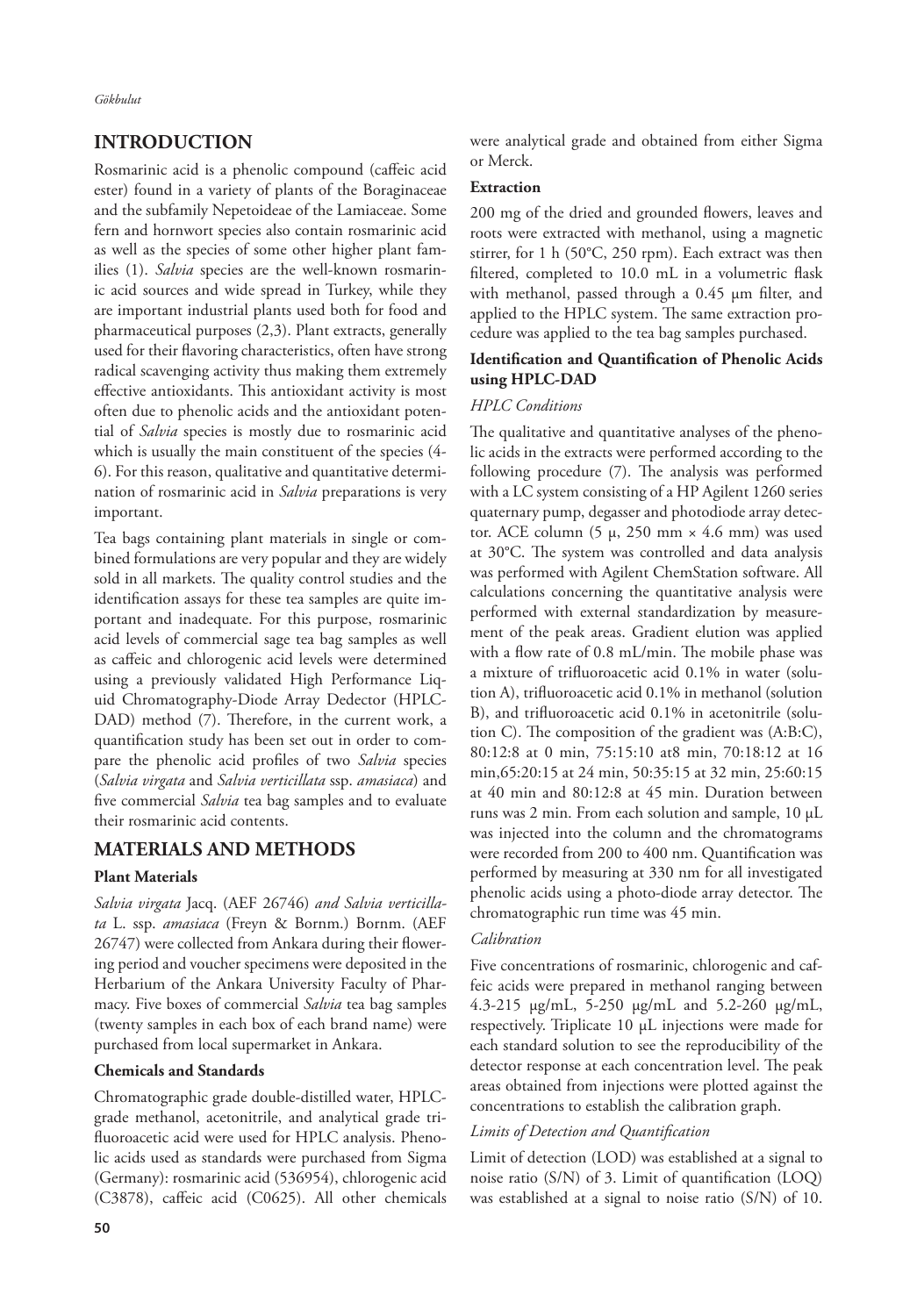*Gökbulut*

## **INTRODUCTION**

Rosmarinic acid is a phenolic compound (caffeic acid ester) found in a variety of plants of the Boraginaceae and the subfamily Nepetoideae of the Lamiaceae. Some fern and hornwort species also contain rosmarinic acid as well as the species of some other higher plant families (1). *Salvia* species are the well-known rosmarinic acid sources and wide spread in Turkey, while they are important industrial plants used both for food and pharmaceutical purposes (2,3). Plant extracts, generally used for their flavoring characteristics, often have strong radical scavenging activity thus making them extremely effective antioxidants. This antioxidant activity is most often due to phenolic acids and the antioxidant potential of *Salvia* species is mostly due to rosmarinic acid which is usually the main constituent of the species (4- 6). For this reason, qualitative and quantitative determination of rosmarinic acid in *Salvia* preparations is very important.

Tea bags containing plant materials in single or combined formulations are very popular and they are widely sold in all markets. The quality control studies and the identification assays for these tea samples are quite important and inadequate. For this purpose, rosmarinic acid levels of commercial sage tea bag samples as well as caffeic and chlorogenic acid levels were determined using a previously validated High Performance Liquid Chromatography-Diode Array Dedector (HPLC-DAD) method (7). Therefore, in the current work, a quantification study has been set out in order to compare the phenolic acid profiles of two *Salvia* species (*Salvia virgata* and *Salvia verticillata* ssp. *amasiaca*) and five commercial *Salvia* tea bag samples and to evaluate their rosmarinic acid contents.

## **MATERIALS AND METHODS**

#### **Plant Materials**

*Salvia virgata* Jacq. (AEF 26746) *and Salvia verticillata* L. ssp. *amasiaca* (Freyn & Bornm.) Bornm. (AEF 26747) were collected from Ankara during their flowering period and voucher specimens were deposited in the Herbarium of the Ankara University Faculty of Pharmacy. Five boxes of commercial *Salvia* tea bag samples (twenty samples in each box of each brand name) were purchased from local supermarket in Ankara.

#### **Chemicals and Standards**

Chromatographic grade double-distilled water, HPLCgrade methanol, acetonitrile, and analytical grade trifluoroacetic acid were used for HPLC analysis. Phenolic acids used as standards were purchased from Sigma (Germany): rosmarinic acid (536954), chlorogenic acid (C3878), caffeic acid (C0625). All other chemicals

#### **Extraction**

200 mg of the dried and grounded flowers, leaves and roots were extracted with methanol, using a magnetic stirrer, for 1 h (50°C, 250 rpm). Each extract was then filtered, completed to 10.0 mL in a volumetric flask with methanol, passed through a 0.45 μm filter, and applied to the HPLC system. The same extraction procedure was applied to the tea bag samples purchased.

#### **Identification and Quantification of Phenolic Acids using HPLC-DAD**

#### *HPLC Conditions*

The qualitative and quantitative analyses of the phenolic acids in the extracts were performed according to the following procedure (7). The analysis was performed with a LC system consisting of a HP Agilent 1260 series quaternary pump, degasser and photodiode array detector. ACE column (5 μ, 250 mm  $\times$  4.6 mm) was used at 30°C. The system was controlled and data analysis was performed with Agilent ChemStation software. All calculations concerning the quantitative analysis were performed with external standardization by measurement of the peak areas. Gradient elution was applied with a flow rate of 0.8 mL/min. The mobile phase was a mixture of trifluoroacetic acid 0.1% in water (solution A), trifluoroacetic acid 0.1% in methanol (solution B), and trifluoroacetic acid 0.1% in acetonitrile (solution C). The composition of the gradient was (A:B:C), 80:12:8 at 0 min, 75:15:10 at8 min, 70:18:12 at 16 min,65:20:15 at 24 min, 50:35:15 at 32 min, 25:60:15 at 40 min and 80:12:8 at 45 min. Duration between runs was 2 min. From each solution and sample, 10 μL was injected into the column and the chromatograms were recorded from 200 to 400 nm. Quantification was performed by measuring at 330 nm for all investigated phenolic acids using a photo-diode array detector. The chromatographic run time was 45 min.

#### *Calibration*

Five concentrations of rosmarinic, chlorogenic and caffeic acids were prepared in methanol ranging between 4.3-215 μg/mL, 5-250 μg/mL and 5.2-260 μg/mL, respectively. Triplicate 10 μL injections were made for each standard solution to see the reproducibility of the detector response at each concentration level. The peak areas obtained from injections were plotted against the concentrations to establish the calibration graph.

#### *Limits of Detection and Quantification*

Limit of detection (LOD) was established at a signal to noise ratio (S/N) of 3. Limit of quantification (LOQ) was established at a signal to noise ratio (S/N) of 10.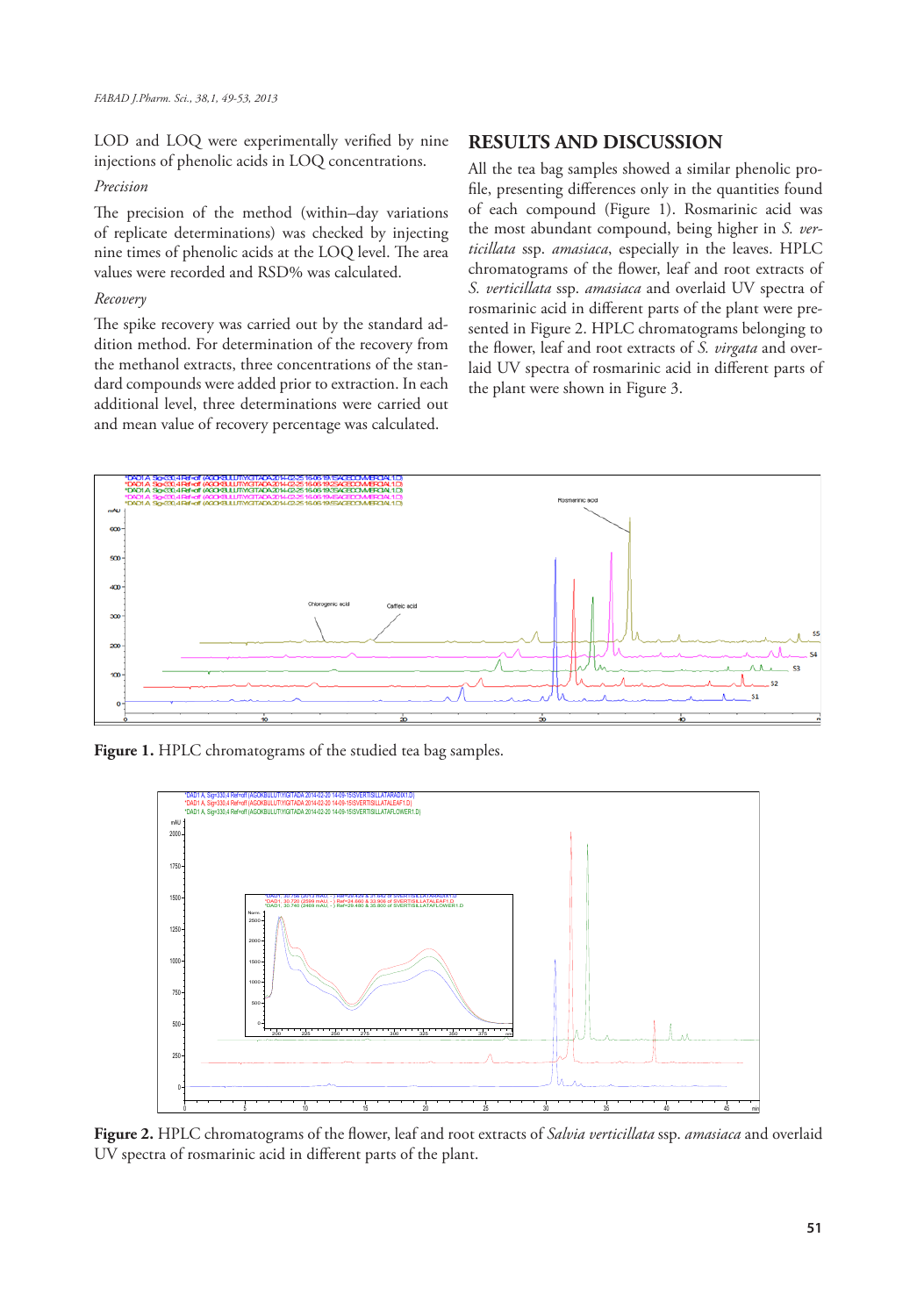LOD and LOQ were experimentally verified by nine injections of phenolic acids in LOQ concentrations.

#### *Precision*

The precision of the method (within–day variations of replicate determinations) was checked by injecting nine times of phenolic acids at the LOQ level. The area values were recorded and RSD% was calculated.

#### *Recovery*

The spike recovery was carried out by the standard addition method. For determination of the recovery from the methanol extracts, three concentrations of the standard compounds were added prior to extraction. In each additional level, three determinations were carried out and mean value of recovery percentage was calculated.

## **RESULTS AND DISCUSSION**

All the tea bag samples showed a similar phenolic profile, presenting differences only in the quantities found of each compound (Figure 1). Rosmarinic acid was the most abundant compound, being higher in *S. verticillata* ssp. *amasiaca*, especially in the leaves. HPLC chromatograms of the flower, leaf and root extracts of *S. verticillata* ssp. *amasiaca* and overlaid UV spectra of rosmarinic acid in different parts of the plant were presented in Figure 2. HPLC chromatograms belonging to the flower, leaf and root extracts of *S. virgata* and overlaid UV spectra of rosmarinic acid in different parts of the plant were shown in Figure 3.



**Figure 1.** HPLC chromatograms of the studied tea bag samples.



**Figure 2.** HPLC chromatograms of the flower, leaf and root extracts of *Salvia verticillata* ssp. *amasiaca* and overlaid UV spectra of rosmarinic acid in different parts of the plant.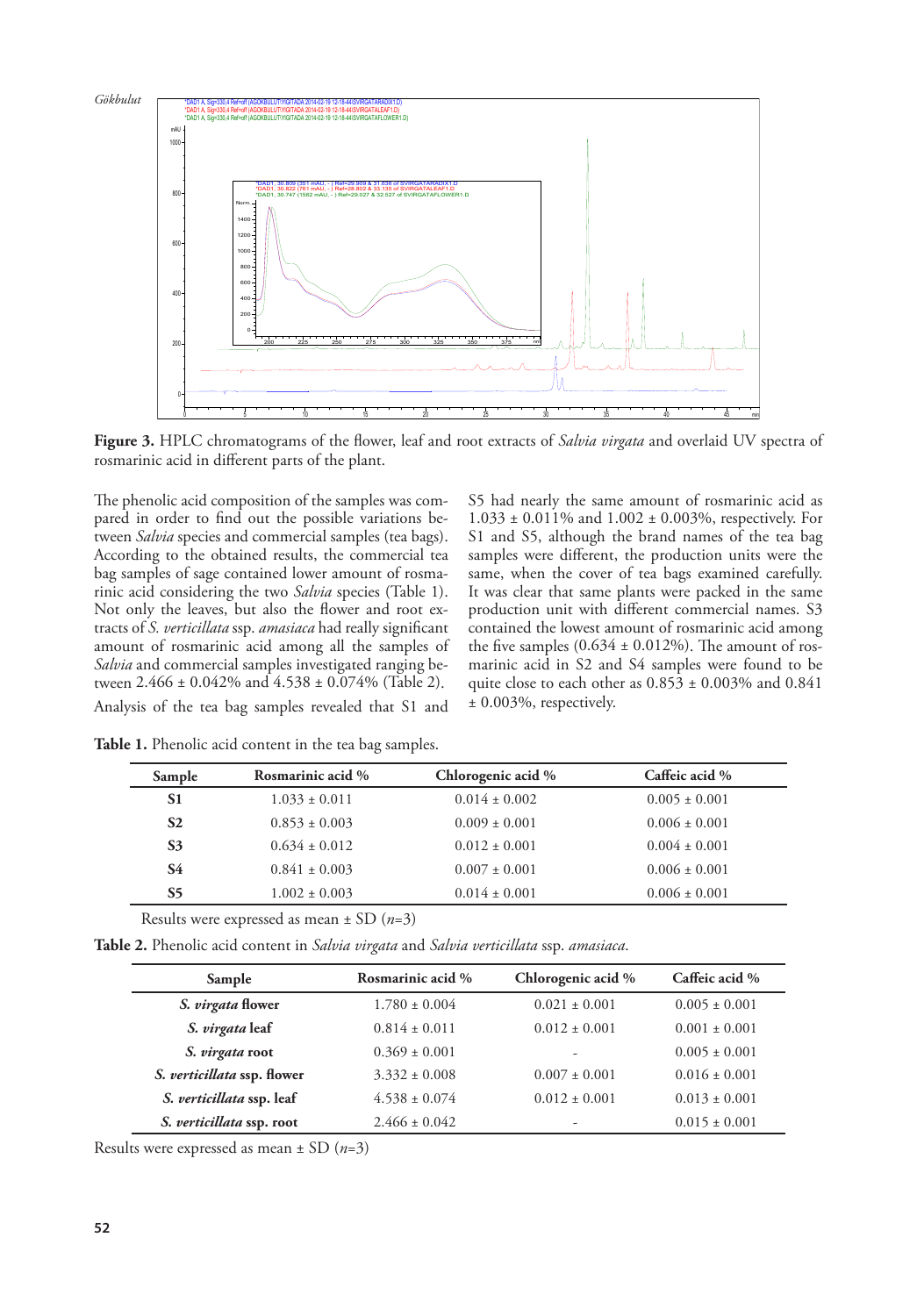

**Figure 3.** HPLC chromatograms of the flower, leaf and root extracts of *Salvia virgata* and overlaid UV spectra of rosmarinic acid in different parts of the plant.

The phenolic acid composition of the samples was compared in order to find out the possible variations between *Salvia* species and commercial samples (tea bags). According to the obtained results, the commercial tea bag samples of sage contained lower amount of rosmarinic acid considering the two *Salvia* species (Table 1). Not only the leaves, but also the flower and root extracts of *S. verticillata* ssp. *amasiaca* had really significant amount of rosmarinic acid among all the samples of *Salvia* and commercial samples investigated ranging between 2.466 ± 0.042% and 4.538 ± 0.074% (Table 2). Analysis of the tea bag samples revealed that S1 and

S5 had nearly the same amount of rosmarinic acid as 1.033 ± 0.011% and 1.002 ± 0.003%, respectively. For S1 and S5, although the brand names of the tea bag samples were different, the production units were the same, when the cover of tea bags examined carefully. It was clear that same plants were packed in the same production unit with different commercial names. S3 contained the lowest amount of rosmarinic acid among the five samples  $(0.634 \pm 0.012\%)$ . The amount of rosmarinic acid in S2 and S4 samples were found to be quite close to each other as  $0.853 \pm 0.003\%$  and  $0.841$ ± 0.003%, respectively.

| Sample         | Rosmarinic acid % | Chlorogenic acid % | Caffeic acid %    |
|----------------|-------------------|--------------------|-------------------|
| S1             | $1.033 \pm 0.011$ | $0.014 \pm 0.002$  | $0.005 \pm 0.001$ |
| S <sub>2</sub> | $0.853 \pm 0.003$ | $0.009 \pm 0.001$  | $0.006 \pm 0.001$ |
| S <sub>3</sub> | $0.634 \pm 0.012$ | $0.012 \pm 0.001$  | $0.004 \pm 0.001$ |
| S4             | $0.841 \pm 0.003$ | $0.007 \pm 0.001$  | $0.006 \pm 0.001$ |
| S5             | $1.002 \pm 0.003$ | $0.014 \pm 0.001$  | $0.006 \pm 0.001$ |

**Table 1.** Phenolic acid content in the tea bag samples.

| Results were expressed as mean $\pm$ SD ( <i>n</i> =3) |  |  |  |  |
|--------------------------------------------------------|--|--|--|--|
|--------------------------------------------------------|--|--|--|--|

**Table 2.** Phenolic acid content in *Salvia virgata* and *Salvia verticillata* ssp. *amasiaca*.

| Sample                      | Rosmarinic acid % | Chlorogenic acid % | Caffeic acid %    |
|-----------------------------|-------------------|--------------------|-------------------|
| S. virgata flower           | $1.780 \pm 0.004$ | $0.021 \pm 0.001$  | $0.005 \pm 0.001$ |
| S. virgata leaf             | $0.814 \pm 0.011$ | $0.012 \pm 0.001$  | $0.001 \pm 0.001$ |
| S. virgata root             | $0.369 \pm 0.001$ | ۰                  | $0.005 \pm 0.001$ |
| S. verticillata ssp. flower | $3.332 \pm 0.008$ | $0.007 \pm 0.001$  | $0.016 \pm 0.001$ |
| S. verticillata ssp. leaf   | $4.538 \pm 0.074$ | $0.012 \pm 0.001$  | $0.013 \pm 0.001$ |
| S. verticillata ssp. root   | $2.466 \pm 0.042$ | ۰                  | $0.015 \pm 0.001$ |

Results were expressed as mean ± SD (*n*=3)